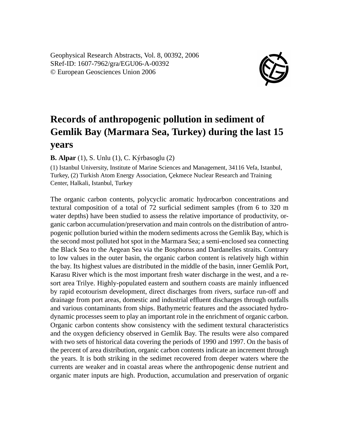Geophysical Research Abstracts, Vol. 8, 00392, 2006 SRef-ID: 1607-7962/gra/EGU06-A-00392 © European Geosciences Union 2006



## **Records of anthropogenic pollution in sediment of Gemlik Bay (Marmara Sea, Turkey) during the last 15 years**

**B. Alpar** (1), S. Unlu (1), C. Kýrbasoglu (2)

(1) Istanbul University, Institute of Marine Sciences and Management, 34116 Vefa, Istanbul, Turkey, (2) Turkish Atom Energy Association, Çekmece Nuclear Research and Training Center, Halkali, Istanbul, Turkey

The organic carbon contents, polycyclic aromatic hydrocarbon concentrations and textural composition of a total of 72 surficial sediment samples (from 6 to 320 m water depths) have been studied to assess the relative importance of productivity, organic carbon accumulation/preservation and main controls on the distribution of antropogenic pollution buried within the modern sediments across the Gemlik Bay, which is the second most polluted hot spot in the Marmara Sea; a semi-enclosed sea connecting the Black Sea to the Aegean Sea via the Bosphorus and Dardanelles straits. Contrary to low values in the outer basin, the organic carbon content is relatively high within the bay. Its highest values are distributed in the middle of the basin, inner Gemlik Port, Karasu River which is the most important fresh water discharge in the west, and a resort area Trilye. Highly-populated eastern and southern coasts are mainly influenced by rapid ecotourism development, direct discharges from rivers, surface run-off and drainage from port areas, domestic and industrial effluent discharges through outfalls and various contaminants from ships. Bathymetric features and the associated hydrodynamic processes seem to play an important role in the enrichment of organic carbon. Organic carbon contents show consistency with the sediment textural characteristics and the oxygen deficiency observed in Gemlik Bay. The results were also compared with two sets of historical data covering the periods of 1990 and 1997. On the basis of the percent of area distribution, organic carbon contents indicate an increment through the years. It is both striking in the sedimet recovered from deeper waters where the currents are weaker and in coastal areas where the anthropogenic dense nutrient and organic mater inputs are high. Production, accumulation and preservation of organic